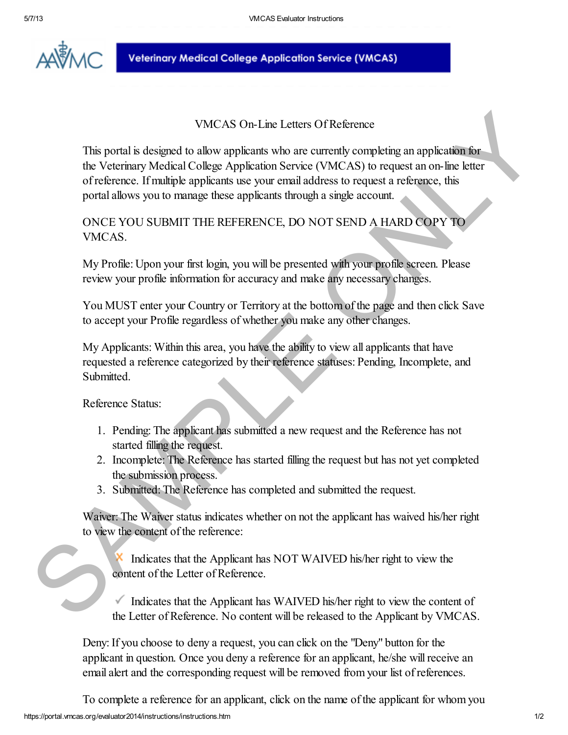

**Veterinary Medical College Application Service (VMCAS)** 

### VMCAS On-Line Letters Of Reference

This portal is designed to allow applicants who are currently completing an application for the Veterinary Medical College Application Service (VMCAS) to request an on-line letter of reference. If multiple applicants use your email address to request a reference, this portal allows you to manage these applicants through a single account. VMCAS On-Line Letters Of Reference<br>
This portal is designed to allow applicants who are currently completing an application for<br>
the Veeterance. If multiple applicants are your email address to request an reference, this<br>

ONCE YOU SUBMIT THE REFERENCE, DO NOT SEND A HARD COPY TO VMCAS.

My Profile: Upon your first login, you will be presented with your profile screen. Please review your profile information for accuracy and make any necessary changes.

You MUST enter your Country or Territory at the bottom of the page and then click Save to accept your Profile regardless of whether you make any other changes.

My Applicants: Within this area, you have the ability to view all applicants that have requested a reference categorized by their reference statuses: Pending, Incomplete, and Submitted.

Reference Status:

- 1. Pending: The applicant has submitted a new request and the Reference has not started filling the request.
- 2. Incomplete: The Reference has started filling the request but has not yet completed the submission process.
- 3. Submitted: The Reference has completed and submitted the request.

Waiver: The Waiver status indicates whether on not the applicant has waived his/her right to view the content of the reference:

 Indicates that the Applicant has NOT WAIVED his/her right to view the content of the Letter of Reference.

Indicates that the Applicant has WAIVED his/her right to view the content of the Letter of Reference. No content will be released to the Applicant by VMCAS.

Deny: If you choose to deny a request, you can click on the "Deny" button for the applicant in question. Once you deny a reference for an applicant, he/she will receive an email alert and the corresponding request will be removed from your list of references.

https://portal.vmcas.org/evaluator2014/instructions/instructions.htm 1/2 To complete a reference for an applicant, click on the name of the applicant for whom you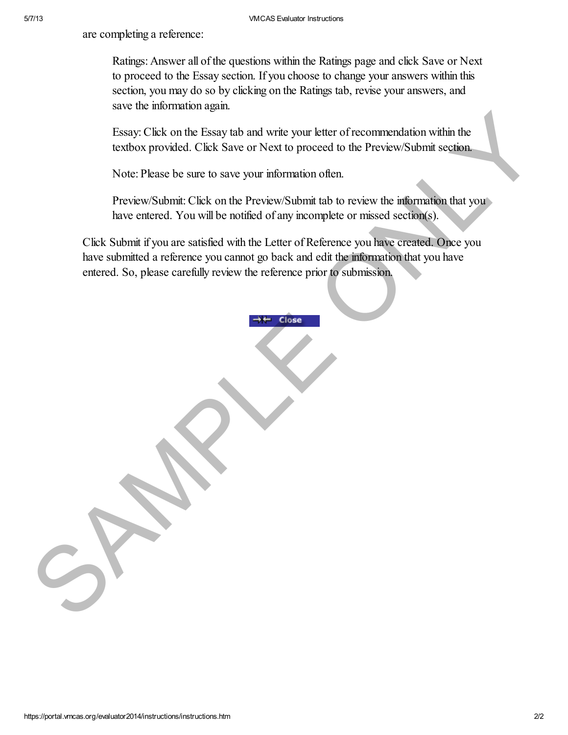are completing a reference:

Ratings: Answer all of the questions within the Ratings page and click Save or Next to proceed to the Essay section. If you choose to change your answers within this section, you may do so by clicking on the Ratings tab, revise your answers, and save the information again.

Essay: Click on the Essay tab and write your letter of recommendation within the textbox provided. Click Save or Next to proceed to the Preview/Submit section.

Note: Please be sure to save your information often.

Preview/Submit: Click on the Preview/Submit tab to review the information that you have entered. You will be notified of any incomplete or missed section(s).

Click Submit if you are satisfied with the Letter of Reference you have created. Once you have submitted a reference you cannot go back and edit the information that you have entered. So, please carefully review the reference prior to submission. [E](https://portal.vmcas.org/evaluator2014/instructions/instructions.htm#)ssay: Click on the Essay tab and write your letter of recommendation within the textbox provided. Click Save or Next to proceed to the PreviewSubmit section.<br>Note: Please be sure to save your information often.<br>PreviewSub

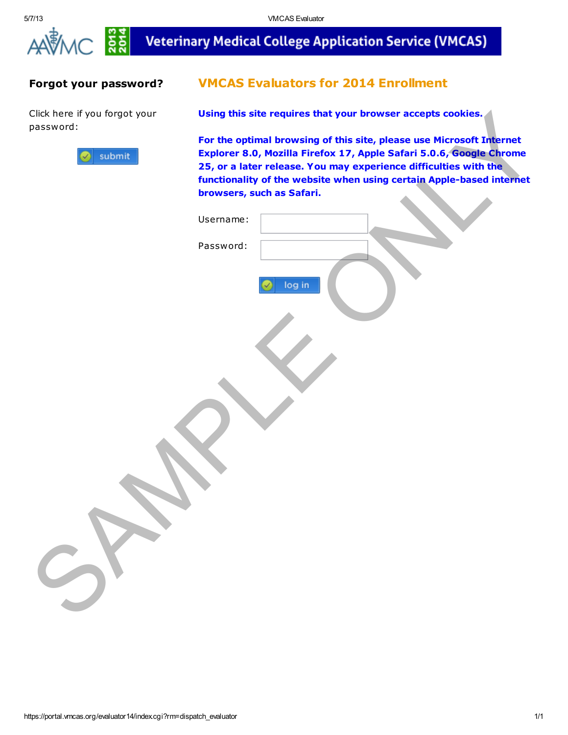



 $\frac{25}{204}$ 

# **Veterinary Medical College Application Service (VMCAS)**

### Forgot your password?

Click here if you forgot your password:



# VMCAS Evaluators for 2014 Enrollment

Using this site requires that your browser accepts cookies.

| Click here if you forgot your<br>password: |                           | Using this site requires that your browser accepts cookies.                                                                                                                                                                                                                             |
|--------------------------------------------|---------------------------|-----------------------------------------------------------------------------------------------------------------------------------------------------------------------------------------------------------------------------------------------------------------------------------------|
| submit                                     | browsers, such as Safari. | For the optimal browsing of this site, please use Microsoft Internet<br>Explorer 8.0, Mozilla Firefox 17, Apple Safari 5.0.6, Google Chrome<br>25, or a later release. You may experience difficulties with the<br>functionality of the website when using certain Apple-based internet |
|                                            | Username:                 |                                                                                                                                                                                                                                                                                         |
|                                            | Password:<br>log in       |                                                                                                                                                                                                                                                                                         |
|                                            |                           |                                                                                                                                                                                                                                                                                         |
|                                            |                           |                                                                                                                                                                                                                                                                                         |
|                                            |                           |                                                                                                                                                                                                                                                                                         |
|                                            |                           |                                                                                                                                                                                                                                                                                         |
| $\tilde{z}$                                |                           |                                                                                                                                                                                                                                                                                         |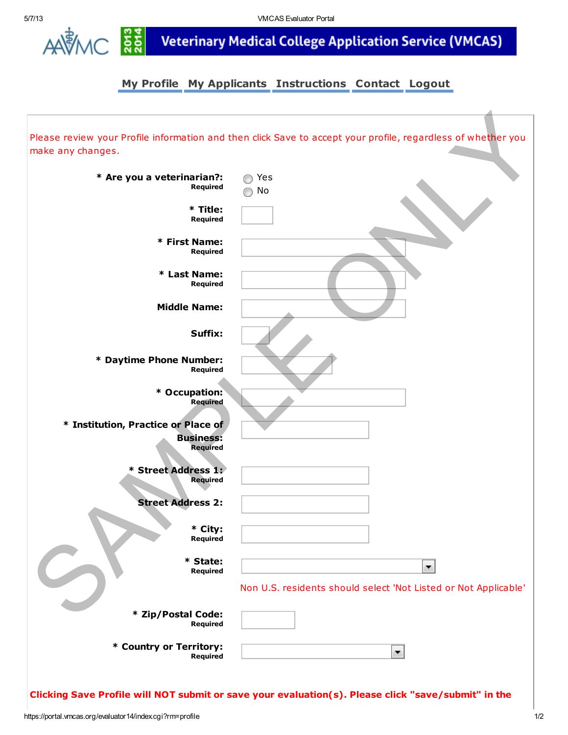

AAVAC 55 Veterinary Medical College Application Service (VMCAS)

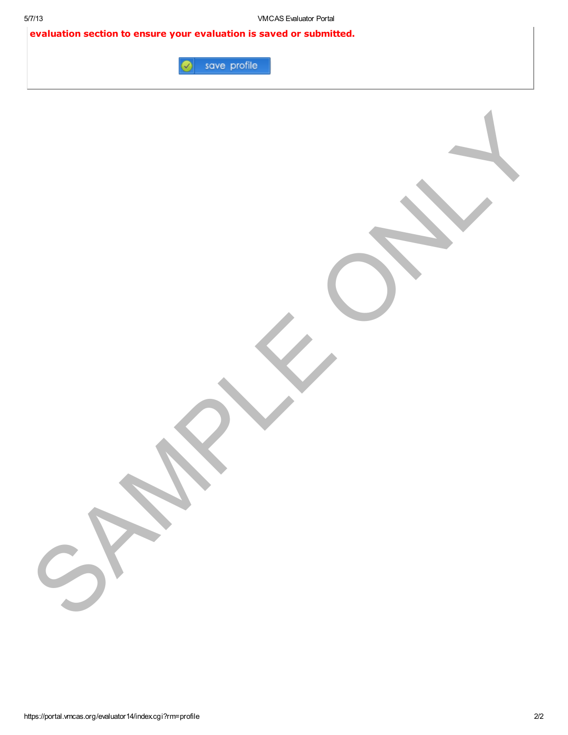SAMPLE ONLY

evaluation section to ensure your evaluation is saved or submitted.

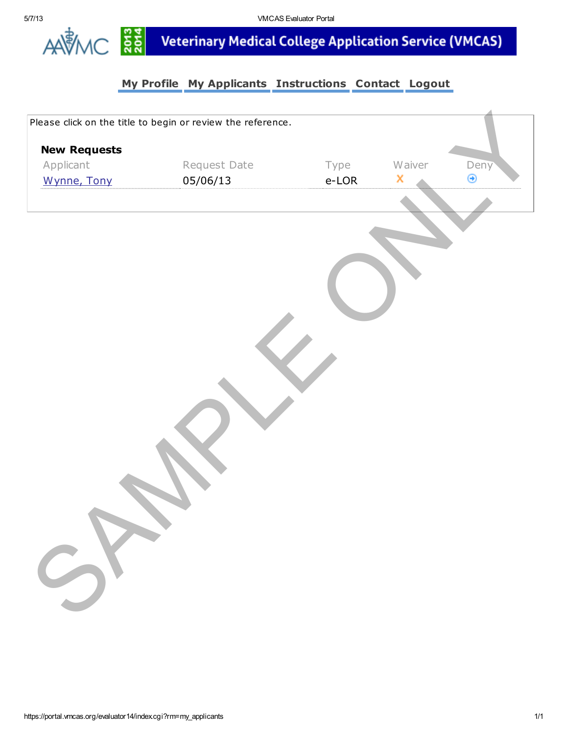

្ត្តី<br>ក្តី<br>ក្តី<br>
Neterinary Medical College Application Service (VMCAS)

| <b>New Requests</b> | Please click on the title to begin or review the reference. |       |        |      |
|---------------------|-------------------------------------------------------------|-------|--------|------|
| Applicant           | Request Date                                                | Type  | Waiver | Deny |
| Wynne, Tony         | 05/06/13                                                    | e-LOR | x      | ⊛    |
|                     |                                                             |       |        |      |
| SY                  |                                                             |       |        |      |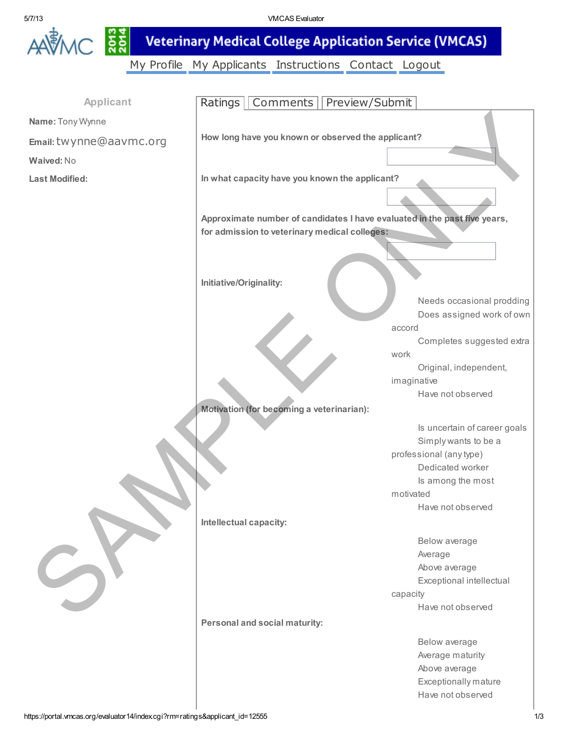

5/7/13 VMCAS Evaluator

AAVAC 55 Veterinary Medical College Application Service (VMCAS)

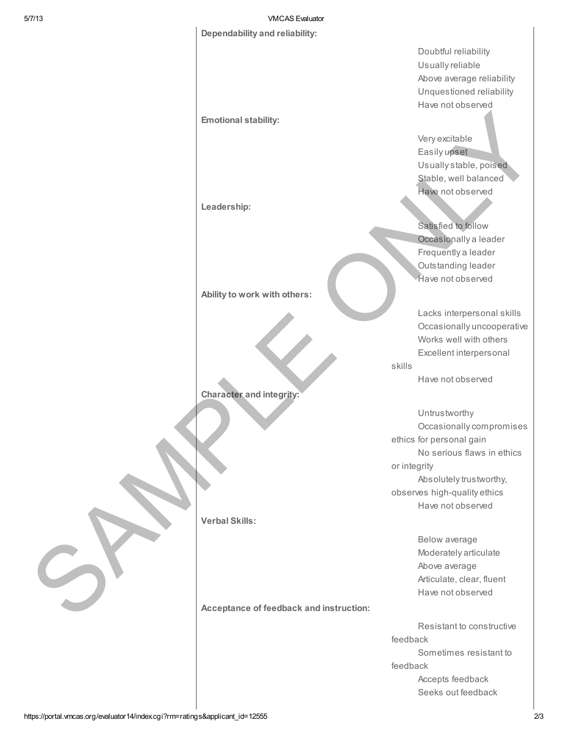#### 5/7/13 VMCAS Evaluator

#### Dependability and reliability:

Emotional stability:

Leadership:

Ability to work with others:

Character and integrity:

Verbal Skills:

Character and integrity:<br>
Verbal Skills:<br>
Verbal Skills:<br>
Acceptance of feedback and instruction Acceptance of feedback and instruction: Doubtful reliability Usually reliable Above average reliability Unquestioned reliability Have not observed

Very excitable Easily upset Usually stable, poised Stable, well balanced Have not observed Very excitable<br>
Easily upset<br>
Usually stable, poised<br>
Stable, well balanced<br>
Have not observed<br>
Satisfied to follow<br>
Occasionally a leader<br>
Frequently a leader<br>
Outstanding leader<br>
Have not observed<br>
Lacks interpersonal sk

Satisfied to follow Occasionally a leader Frequently a leader Outstanding leader Have not observed

Lacks interpersonal skills Occasionally uncooperative Works well with others Excellent interpersonal

Have not observed

skills

**Untrustworthy** Occasionally compromises ethics for personal gain No serious flaws in ethics or integrity Absolutely trustworthy, observes high-quality ethics Have not observed

> Below average Moderately articulate Above average Articulate, clear, fluent Have not observed

Resistant to constructive feedback Sometimes resistant to feedback Accepts feedback Seeks out feedback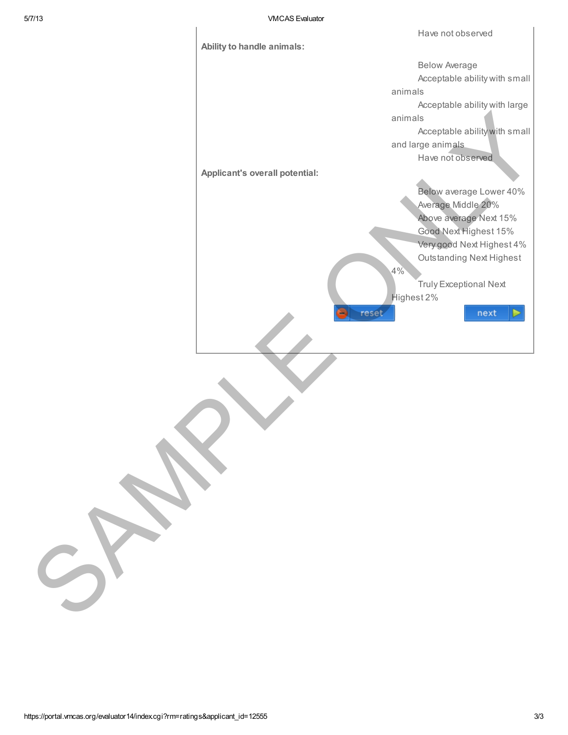

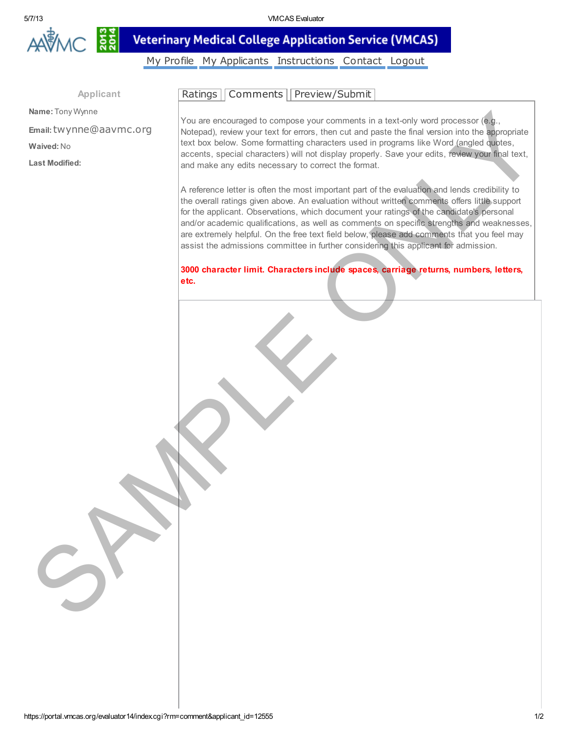

#### $2013$ **Veterinary Medical College Application Service (VMCAS)**

[My Profile](https://portal.vmcas.org/evaluator14/index.cgi?rm=profile) [My Applicants](https://portal.vmcas.org/evaluator14/index.cgi?rm=my_applicants) [Instructions](javascript:open_window() [Contact](javascript:open_window() [Logout](https://portal.vmcas.org/evaluator14/index.cgi?rm=logout)

Applicant

Name: Tony Wynne

Email:twynne@aavmc.org Waived: No Last Modified:

[Ratings](https://portal.vmcas.org/evaluator14/index.cgi?rm=comment&applicant_id=12555#) | [Comments](https://portal.vmcas.org/evaluator14/index.cgi?rm=comment&applicant_id=12555#) | [Preview/Submit](https://portal.vmcas.org/evaluator14/index.cgi?rm=comment&applicant_id=12555#)

You are encouraged to compose your comments in a text-only word processor (e.g., Notepad), review your text for errors, then cut and paste the final version into the appropriate text box below. Some formatting characters used in programs like Word (angled quotes, accents, special characters) will not display properly. Save your edits, review your final text, and make any edits necessary to correct the format.

A reference letter is often the most important part of the evaluation and lends credibility to the overall ratings given above. An evaluation without written comments offers little support for the applicant. Observations, which document your ratings of the candidate's personal and/or academic qualifications, as well as comments on specific strengths and weaknesses, are extremely helpful. On the free text field below, please add comments that you feel may assist the admissions committee in further considering this applicant for admission. Name: Liny Wyntar Research (with a second point of the stress) compare your contract that and and and the stress (with a stress) contract Map.<br>
The same in the stress comes is special change to compare the record of the st

3000 character limit. Characters include spaces, carriage returns, numbers, letters, etc.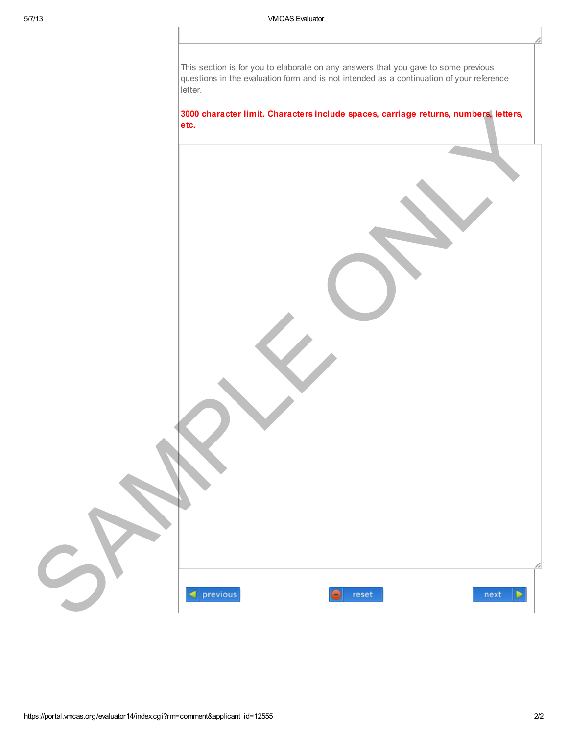This section is for you to elaborate on any answers that you gave to some previous questions in the evaluation form and is not intended as a continuation of your reference letter.

#### 3000 character limit. Characters include spaces, carriage returns, numbers, letters, etc.

| ▼                                                   |  |
|-----------------------------------------------------|--|
| $\triangleleft$ previous<br>⊜<br>reset<br>next<br>Þ |  |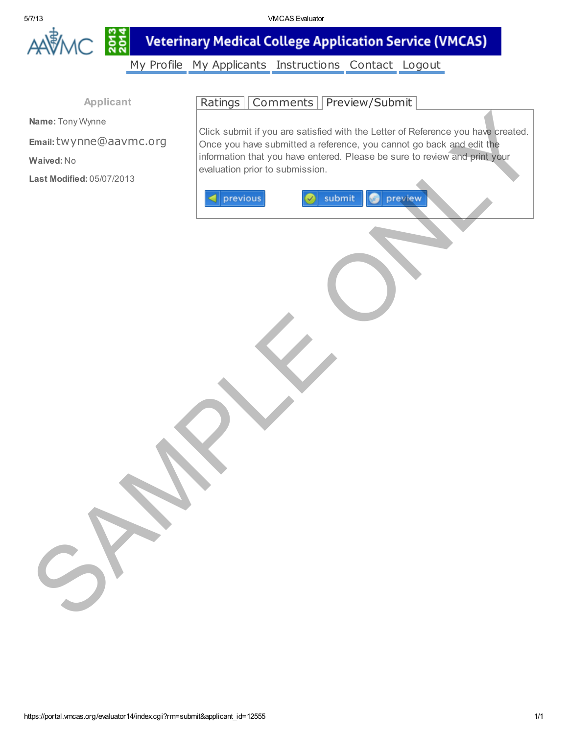

5/7/13 VMCAS Evaluator

**Veterinary Medical College Application Service (VMCAS)** 

[My Profile](https://portal.vmcas.org/evaluator14/index.cgi?rm=profile) [My Applicants](https://portal.vmcas.org/evaluator14/index.cgi?rm=my_applicants) [Instructions](javascript:open_window() [Contact](javascript:open_window() [Logout](https://portal.vmcas.org/evaluator14/index.cgi?rm=logout)

Applicant

Name: Tony Wynne

Email:twynne@aavmc.org

Waived: No

Last Modified: 05/07/2013

[Ratings](https://portal.vmcas.org/evaluator14/index.cgi?rm=submit&applicant_id=12555#) | [Comments](https://portal.vmcas.org/evaluator14/index.cgi?rm=submit&applicant_id=12555#) | [Preview/Submit](https://portal.vmcas.org/evaluator14/index.cgi?rm=submit&applicant_id=12555#)

Click submit if you are satisfied with the Letter of Reference you have created. Once you have submitted a reference, you cannot go back and edit the information that you have entered. Please be sure to review and print your evaluation prior to submission. Name: Tony Wysine<br>
Temak: thyyrinne@aavmc.org<br>
Waived: No<br>
Waived: No<br>
Waived: No<br>
Waived: No<br>
Material Concert of the submission.<br>
Intermediate in the submission.<br>
The previous<br>
The previous<br>
The submit D is the set of or

https://portal.vmcas.org/evaluator14/index.cgi?rm=submit&applicant\_id=12555 1/11